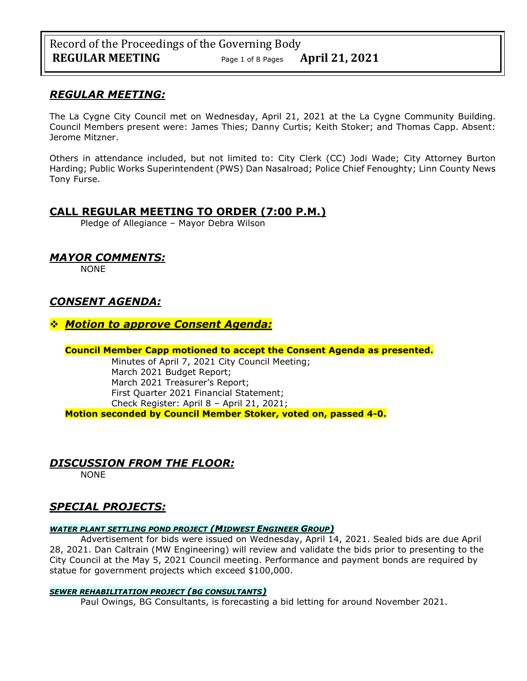Record of the Proceedings of the Governing Body **REGULAR MEETING** Page <sup>1</sup> of 8 Pages **April 21, 2021**

## *REGULAR MEETING:*

The La Cygne City Council met on Wednesday, April 21, 2021 at the La Cygne Community Building. Council Members present were: James Thies; Danny Curtis; Keith Stoker; and Thomas Capp. Absent: Jerome Mitzner.

Others in attendance included, but not limited to: City Clerk (CC) Jodi Wade; City Attorney Burton Harding; Public Works Superintendent (PWS) Dan Nasalroad; Police Chief Fenoughty; Linn County News Tony Furse.

# **CALL REGULAR MEETING TO ORDER (7:00 P.M.)**

Pledge of Allegiance – Mayor Debra Wilson

# *MAYOR COMMENTS:*

NONE

# *CONSENT AGENDA:*

## ❖ *Motion to approve Consent Agenda:*

**Council Member Capp motioned to accept the Consent Agenda as presented.**

Minutes of April 7, 2021 City Council Meeting; March 2021 Budget Report; March 2021 Treasurer's Report; First Quarter 2021 Financial Statement; Check Register: April 8 – April 21, 2021; **Motion seconded by Council Member Stoker, voted on, passed 4-0.** 

# *DISCUSSION FROM THE FLOOR:*

NONE

# *SPECIAL PROJECTS:*

## *WATER PLANT SETTLING POND PROJECT (MIDWEST ENGINEER GROUP)*

Advertisement for bids were issued on Wednesday, April 14, 2021. Sealed bids are due April 28, 2021. Dan Caltrain (MW Engineering) will review and validate the bids prior to presenting to the City Council at the May 5, 2021 Council meeting. Performance and payment bonds are required by statue for government projects which exceed \$100,000.

## *SEWER REHABILITATION PROJECT (BG CONSULTANTS)*

Paul Owings, BG Consultants, is forecasting a bid letting for around November 2021.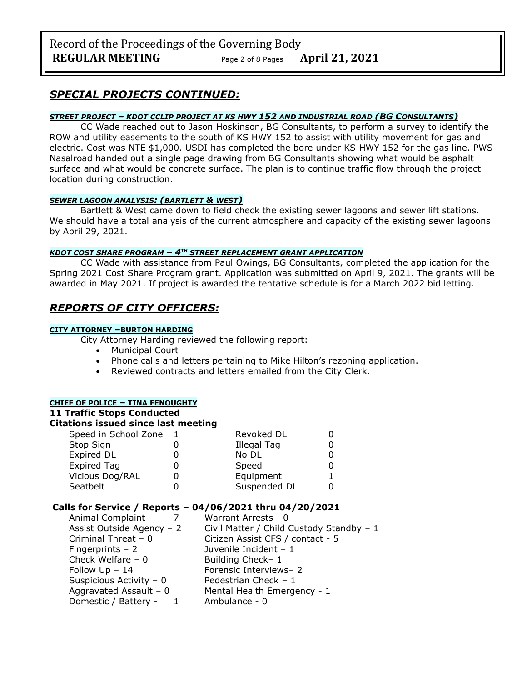# *SPECIAL PROJECTS CONTINUED:*

### *STREET PROJECT – KDOT CCLIP PROJECT AT KS HWY 152 AND INDUSTRIAL ROAD (BG CONSULTANTS)*

CC Wade reached out to Jason Hoskinson, BG Consultants, to perform a survey to identify the ROW and utility easements to the south of KS HWY 152 to assist with utility movement for gas and electric. Cost was NTE \$1,000. USDI has completed the bore under KS HWY 152 for the gas line. PWS Nasalroad handed out a single page drawing from BG Consultants showing what would be asphalt surface and what would be concrete surface. The plan is to continue traffic flow through the project location during construction.

### *SEWER LAGOON ANALYSIS: (BARTLETT & WEST)*

Bartlett & West came down to field check the existing sewer lagoons and sewer lift stations. We should have a total analysis of the current atmosphere and capacity of the existing sewer lagoons by April 29, 2021.

## *KDOT COST SHARE PROGRAM – 4TH STREET REPLACEMENT GRANT APPLICATION*

CC Wade with assistance from Paul Owings, BG Consultants, completed the application for the Spring 2021 Cost Share Program grant. Application was submitted on April 9, 2021. The grants will be awarded in May 2021. If project is awarded the tentative schedule is for a March 2022 bid letting.

# *REPORTS OF CITY OFFICERS:*

#### **CITY ATTORNEY –BURTON HARDING**

City Attorney Harding reviewed the following report:

- Municipal Court
- Phone calls and letters pertaining to Mike Hilton's rezoning application.
- Reviewed contracts and letters emailed from the City Clerk.

## **CHIEF OF POLICE – TINA FENOUGHTY**

## **11 Traffic Stops Conducted**

## **Citations issued since last meeting**

| Speed in School Zone | Revoked DL         |  |
|----------------------|--------------------|--|
| Stop Sign            | <b>Illegal Tag</b> |  |
| Expired DL           | No DL              |  |
| <b>Expired Tag</b>   | Speed              |  |
| Vicious Dog/RAL      | Equipment          |  |
| Seatbelt             | Suspended DL       |  |

## **Calls for Service / Reports – 04/06/2021 thru 04/20/2021**

| Civil Matter / Child Custody Standby - 1 |
|------------------------------------------|
|                                          |
|                                          |
|                                          |
|                                          |
|                                          |
|                                          |
|                                          |
|                                          |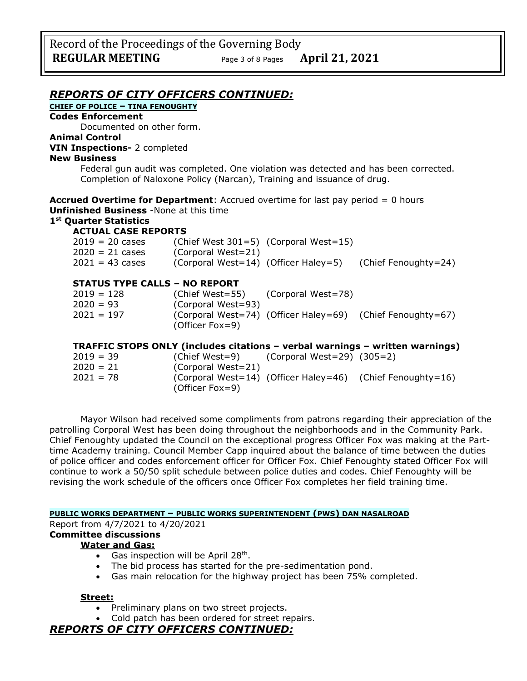## *REPORTS OF CITY OFFICERS CONTINUED:*

## **CHIEF OF POLICE – TINA FENOUGHTY**

### **Codes Enforcement**

Documented on other form.

#### **Animal Control VIN Inspections-** 2 completed

### **New Business**

Federal gun audit was completed. One violation was detected and has been corrected. Completion of Naloxone Policy (Narcan), Training and issuance of drug.

**Accrued Overtime for Department**: Accrued overtime for last pay period = 0 hours **Unfinished Business** -None at this time

## **1st Quarter Statistics**

### **ACTUAL CASE REPORTS**

| $2019 = 20 \text{ cases}$            |                    | (Chief West 301=5) (Corporal West=15)     |                                                                              |
|--------------------------------------|--------------------|-------------------------------------------|------------------------------------------------------------------------------|
| $2020 = 21 \text{ cases}$            | (Corporal West=21) |                                           |                                                                              |
| $2021 = 43 \text{ cases}$            |                    |                                           | (Corporal West=14) (Officer Haley=5) (Chief Fenoughty=24)                    |
| <b>STATUS TYPE CALLS - NO REPORT</b> |                    |                                           |                                                                              |
|                                      |                    |                                           |                                                                              |
| $2019 = 128$                         |                    | (Chief West=55) (Corporal West=78)        |                                                                              |
| $2020 = 93$                          | (Corporal West=93) |                                           |                                                                              |
| $2021 = 197$                         |                    |                                           | (Corporal West=74) (Officer Haley=69) (Chief Fenoughty=67)                   |
|                                      | (Officer Fox=9)    |                                           |                                                                              |
|                                      |                    |                                           | TRAFFIC STOPS ONLY (includes citations - verbal warnings - written warnings) |
|                                      |                    |                                           |                                                                              |
| $2019 = 39$                          |                    | (Chief West=9) (Corporal West=29) (305=2) |                                                                              |
|                                      |                    |                                           |                                                                              |

| 2020 = 21 | (Corporal West=21) |                                                            |
|-----------|--------------------|------------------------------------------------------------|
| 2021 = 78 |                    | (Corporal West=14) (Officer Haley=46) (Chief Fenoughty=16) |
|           | (Officer Fox=9)    |                                                            |

Mayor Wilson had received some compliments from patrons regarding their appreciation of the patrolling Corporal West has been doing throughout the neighborhoods and in the Community Park. Chief Fenoughty updated the Council on the exceptional progress Officer Fox was making at the Parttime Academy training. Council Member Capp inquired about the balance of time between the duties of police officer and codes enforcement officer for Officer Fox. Chief Fenoughty stated Officer Fox will continue to work a 50/50 split schedule between police duties and codes. Chief Fenoughty will be revising the work schedule of the officers once Officer Fox completes her field training time.

### **PUBLIC WORKS DEPARTMENT – PUBLIC WORKS SUPERINTENDENT (PWS) DAN NASALROAD**

#### Report from 4/7/2021 to 4/20/2021

# **Committee discussions**

## **Water and Gas:**

- Gas inspection will be April 28<sup>th</sup>.
- The bid process has started for the pre-sedimentation pond.
- Gas main relocation for the highway project has been 75% completed.

#### **Street:**

- Preliminary plans on two street projects.
- Cold patch has been ordered for street repairs.

## *REPORTS OF CITY OFFICERS CONTINUED:*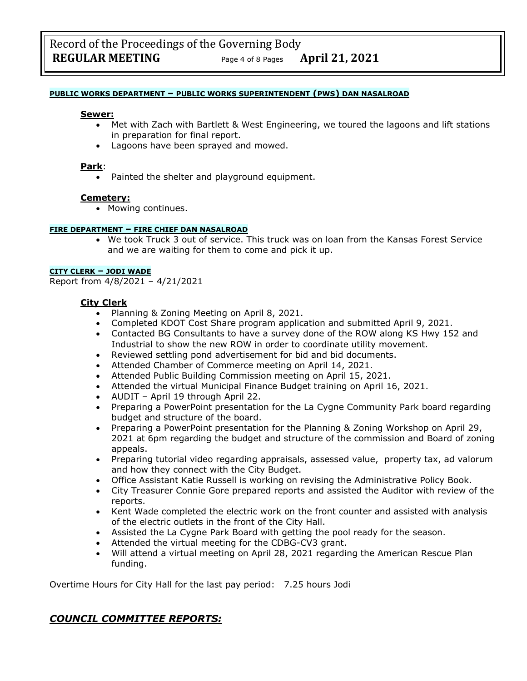#### **PUBLIC WORKS DEPARTMENT – PUBLIC WORKS SUPERINTENDENT (PWS) DAN NASALROAD**

#### **Sewer:**

- Met with Zach with Bartlett & West Engineering, we toured the lagoons and lift stations in preparation for final report.
- Lagoons have been sprayed and mowed.

#### **Park**:

Painted the shelter and playground equipment.

#### **Cemetery:**

• Mowing continues.

#### **FIRE DEPARTMENT – FIRE CHIEF DAN NASALROAD**

• We took Truck 3 out of service. This truck was on loan from the Kansas Forest Service and we are waiting for them to come and pick it up.

#### **CITY CLERK – JODI WADE**

Report from 4/8/2021 – 4/21/2021

### **City Clerk**

- Planning & Zoning Meeting on April 8, 2021.
- Completed KDOT Cost Share program application and submitted April 9, 2021.
- Contacted BG Consultants to have a survey done of the ROW along KS Hwy 152 and Industrial to show the new ROW in order to coordinate utility movement.
- Reviewed settling pond advertisement for bid and bid documents.
- Attended Chamber of Commerce meeting on April 14, 2021.
- Attended Public Building Commission meeting on April 15, 2021.
- Attended the virtual Municipal Finance Budget training on April 16, 2021.
- AUDIT April 19 through April 22.
- Preparing a PowerPoint presentation for the La Cygne Community Park board regarding budget and structure of the board.
- Preparing a PowerPoint presentation for the Planning & Zoning Workshop on April 29, 2021 at 6pm regarding the budget and structure of the commission and Board of zoning appeals.
- Preparing tutorial video regarding appraisals, assessed value, property tax, ad valorum and how they connect with the City Budget.
- Office Assistant Katie Russell is working on revising the Administrative Policy Book.
- City Treasurer Connie Gore prepared reports and assisted the Auditor with review of the reports.
- Kent Wade completed the electric work on the front counter and assisted with analysis of the electric outlets in the front of the City Hall.
- Assisted the La Cygne Park Board with getting the pool ready for the season.
- Attended the virtual meeting for the CDBG-CV3 grant.
- Will attend a virtual meeting on April 28, 2021 regarding the American Rescue Plan funding.

Overtime Hours for City Hall for the last pay period: 7.25 hours Jodi

# *COUNCIL COMMITTEE REPORTS:*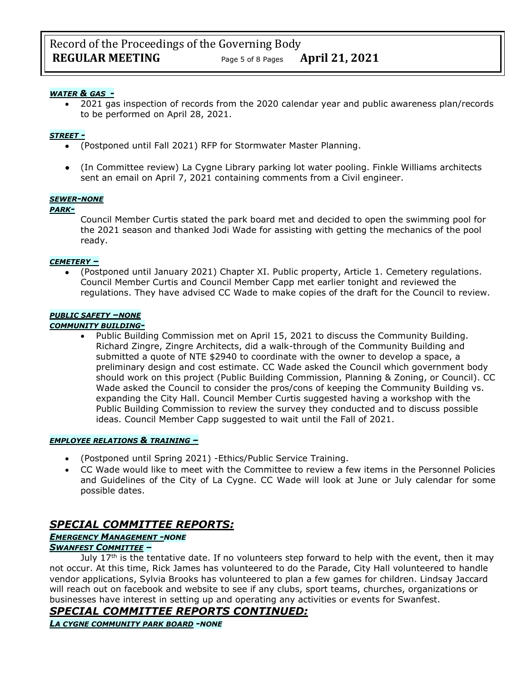### *WATER & GAS -*

• 2021 gas inspection of records from the 2020 calendar year and public awareness plan/records to be performed on April 28, 2021.

#### *STREET -*

- (Postponed until Fall 2021) RFP for Stormwater Master Planning.
- (In Committee review) La Cygne Library parking lot water pooling. Finkle Williams architects sent an email on April 7, 2021 containing comments from a Civil engineer.

#### *SEWER-NONE*

#### *PARK-*

Council Member Curtis stated the park board met and decided to open the swimming pool for the 2021 season and thanked Jodi Wade for assisting with getting the mechanics of the pool ready.

#### *CEMETERY –*

• (Postponed until January 2021) Chapter XI. Public property, Article 1. Cemetery regulations. Council Member Curtis and Council Member Capp met earlier tonight and reviewed the regulations. They have advised CC Wade to make copies of the draft for the Council to review.

#### *PUBLIC SAFETY –NONE*

#### *COMMUNITY BUILDING-*

• Public Building Commission met on April 15, 2021 to discuss the Community Building. Richard Zingre, Zingre Architects, did a walk-through of the Community Building and submitted a quote of NTE \$2940 to coordinate with the owner to develop a space, a preliminary design and cost estimate. CC Wade asked the Council which government body should work on this project (Public Building Commission, Planning & Zoning, or Council). CC Wade asked the Council to consider the pros/cons of keeping the Community Building vs. expanding the City Hall. Council Member Curtis suggested having a workshop with the Public Building Commission to review the survey they conducted and to discuss possible ideas. Council Member Capp suggested to wait until the Fall of 2021.

#### *EMPLOYEE RELATIONS & TRAINING –*

- (Postponed until Spring 2021) -Ethics/Public Service Training.
- CC Wade would like to meet with the Committee to review a few items in the Personnel Policies and Guidelines of the City of La Cygne. CC Wade will look at June or July calendar for some possible dates.

# *SPECIAL COMMITTEE REPORTS:*

## *EMERGENCY MANAGEMENT -NONE SWANFEST COMMITTEE –*

July  $17<sup>th</sup>$  is the tentative date. If no volunteers step forward to help with the event, then it may not occur. At this time, Rick James has volunteered to do the Parade, City Hall volunteered to handle vendor applications, Sylvia Brooks has volunteered to plan a few games for children. Lindsay Jaccard will reach out on facebook and website to see if any clubs, sport teams, churches, organizations or businesses have interest in setting up and operating any activities or events for Swanfest.

*SPECIAL COMMITTEE REPORTS CONTINUED:*

*LA CYGNE COMMUNITY PARK BOARD -NONE*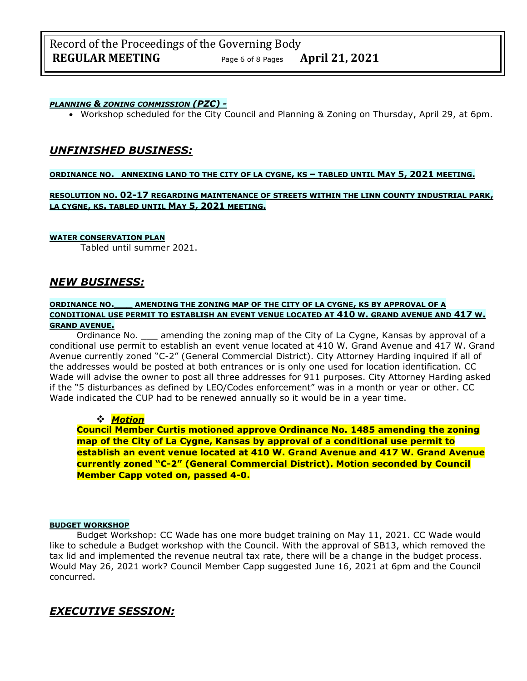### *PLANNING & ZONING COMMISSION (PZC) -*

• Workshop scheduled for the City Council and Planning & Zoning on Thursday, April 29, at 6pm.

# *UNFINISHED BUSINESS:*

#### **ORDINANCE NO. ANNEXING LAND TO THE CITY OF LA CYGNE, KS – TABLED UNTIL MAY 5, 2021 MEETING.**

### **RESOLUTION NO. 02-17 REGARDING MAINTENANCE OF STREETS WITHIN THE LINN COUNTY INDUSTRIAL PARK, LA CYGNE, KS. TABLED UNTIL MAY 5, 2021 MEETING.**

#### **WATER CONSERVATION PLAN**

Tabled until summer 2021.

## *NEW BUSINESS:*

#### **ORDINANCE NO.\_\_\_ AMENDING THE ZONING MAP OF THE CITY OF LA CYGNE, KS BY APPROVAL OF A CONDITIONAL USE PERMIT TO ESTABLISH AN EVENT VENUE LOCATED AT 410 W. GRAND AVENUE AND 417 W. GRAND AVENUE.**

Ordinance No. \_\_\_ amending the zoning map of the City of La Cygne, Kansas by approval of a conditional use permit to establish an event venue located at 410 W. Grand Avenue and 417 W. Grand Avenue currently zoned "C-2" (General Commercial District). City Attorney Harding inquired if all of the addresses would be posted at both entrances or is only one used for location identification. CC Wade will advise the owner to post all three addresses for 911 purposes. City Attorney Harding asked if the "5 disturbances as defined by LEO/Codes enforcement" was in a month or year or other. CC Wade indicated the CUP had to be renewed annually so it would be in a year time.

## ❖ *Motion*

**Council Member Curtis motioned approve Ordinance No. 1485 amending the zoning map of the City of La Cygne, Kansas by approval of a conditional use permit to establish an event venue located at 410 W. Grand Avenue and 417 W. Grand Avenue currently zoned "C-2" (General Commercial District). Motion seconded by Council Member Capp voted on, passed 4-0.**

#### **BUDGET WORKSHOP**

Budget Workshop: CC Wade has one more budget training on May 11, 2021. CC Wade would like to schedule a Budget workshop with the Council. With the approval of SB13, which removed the tax lid and implemented the revenue neutral tax rate, there will be a change in the budget process. Would May 26, 2021 work? Council Member Capp suggested June 16, 2021 at 6pm and the Council concurred.

# *EXECUTIVE SESSION:*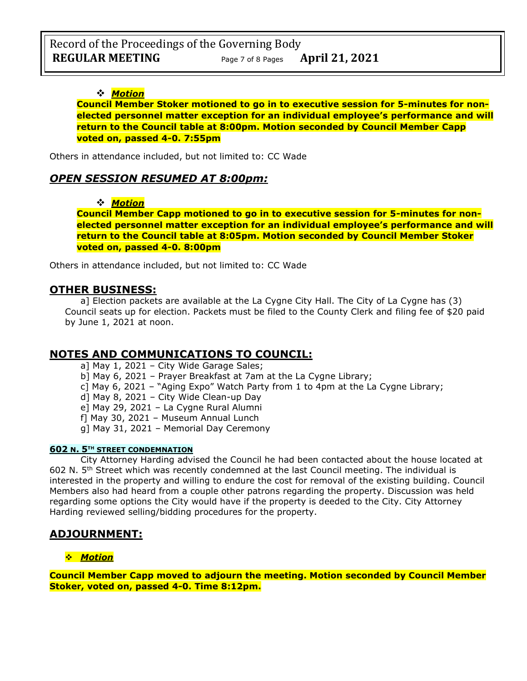## ❖ *Motion*

**Council Member Stoker motioned to go in to executive session for 5-minutes for nonelected personnel matter exception for an individual employee's performance and will return to the Council table at 8:00pm. Motion seconded by Council Member Capp voted on, passed 4-0. 7:55pm**

Others in attendance included, but not limited to: CC Wade

## *OPEN SESSION RESUMED AT 8:00pm:*

## ❖ *Motion*

**Council Member Capp motioned to go in to executive session for 5-minutes for nonelected personnel matter exception for an individual employee's performance and will return to the Council table at 8:05pm. Motion seconded by Council Member Stoker voted on, passed 4-0. 8:00pm** 

Others in attendance included, but not limited to: CC Wade

## **OTHER BUSINESS:**

a] Election packets are available at the La Cygne City Hall. The City of La Cygne has (3) Council seats up for election. Packets must be filed to the County Clerk and filing fee of \$20 paid by June 1, 2021 at noon.

## **NOTES AND COMMUNICATIONS TO COUNCIL:**

a] May 1, 2021 – City Wide Garage Sales;

b] May 6, 2021 – Prayer Breakfast at 7am at the La Cygne Library;

c] May 6, 2021 – "Aging Expo" Watch Party from 1 to 4pm at the La Cygne Library;

d] May 8, 2021 – City Wide Clean-up Day

e] May 29, 2021 – La Cygne Rural Alumni

f] May 30, 2021 – Museum Annual Lunch

g] May 31, 2021 – Memorial Day Ceremony

## **602 N. 5TH STREET CONDEMNATION**

City Attorney Harding advised the Council he had been contacted about the house located at 602 N.  $5<sup>th</sup>$  Street which was recently condemned at the last Council meeting. The individual is interested in the property and willing to endure the cost for removal of the existing building. Council Members also had heard from a couple other patrons regarding the property. Discussion was held regarding some options the City would have if the property is deeded to the City. City Attorney Harding reviewed selling/bidding procedures for the property.

# **ADJOURNMENT:**

## ❖ *Motion*

**Council Member Capp moved to adjourn the meeting. Motion seconded by Council Member Stoker, voted on, passed 4-0. Time 8:12pm.**